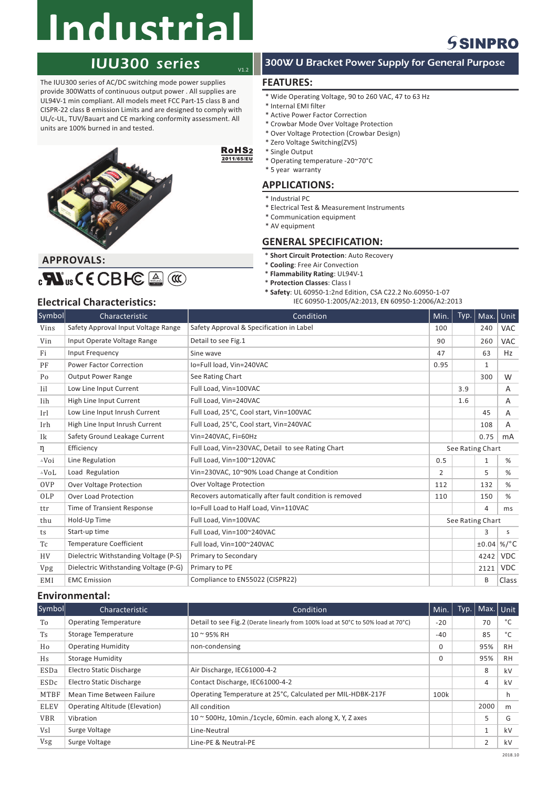# **Industrial**

## IUU300 series

The IUU300 series of AC/DC switching mode power supplies provide 300Watts of continuous output power . All supplies are UL94V-1 min compliant. All models meet FCC Part-15 class B and CISPR-22 class B emission Limits and are designed to comply with UL/c-UL, TUV/Bauart and CE marking conformity assessment. All units are 100% burned in and tested.



## **APPROVALS:**  $_{c}\mathbf{W}_{us}$ CECBHC  $\triangleq$  (CC

### 300W U Bracket Power Supply for General Purpose

### **FEATURES:**

 $V1.2$ 

2011/65/EU

- \* Wide Operating Voltage, 90 to 260 VAC, 47 to 63 Hz
- \* Internal EMI filter
- \* Active Power Factor Correction
- \* Crowbar Mode Over Voltage Protection
- \* Over Voltage Protection (Crowbar Design) \* Zero Voltage Switching(ZVS)
- 
- RoHS<sub>2</sub> \* Single Output
	- \* Operating temperature -20~70°C \* 5 year warranty
	-

### **APPLICATIONS:**

- \* Industrial PC
- \* Electrical Test & Measurement Instruments
- \* Communication equipment
- \* AV equipment

### **GENERAL SPECIFICATION:**

- $*$  **Short Circuit Protection**: Auto Recovery
- $*$  **Cooling**: Free Air Convection
- $*$  **Flammability Rating: UL94V-1**
- $*$  **Protection Classes**: Class I
- **\* Safety**: UL 60950-1:2nd Edition, CSA C22.2 No.60950-1-07
- **Electrical Characteristics:** IEC 60950-1:2005/A2:2013, EN 60950-1:2006/A2:2013

| Symbol           | Characteristic                        | Condition                                               | Min. | Typ.             | Max.         | Unit            |
|------------------|---------------------------------------|---------------------------------------------------------|------|------------------|--------------|-----------------|
| Vins             | Safety Approval Input Voltage Range   | Safety Approval & Specification in Label                | 100  |                  | 240          | <b>VAC</b>      |
| Vin              | Input Operate Voltage Range           | Detail to see Fig.1                                     | 90   |                  | 260          | <b>VAC</b>      |
| Fi               | Input Frequency                       | Sine wave                                               | 47   |                  | 63           | Hz              |
| PF               | <b>Power Factor Correction</b>        | Io=Full load, Vin=240VAC                                | 0.95 |                  | $\mathbf{1}$ |                 |
| Po               | <b>Output Power Range</b>             | See Rating Chart                                        |      |                  | 300          | W               |
| Iil              | Low Line Input Current                | Full Load. Vin=100VAC                                   |      | 3.9              |              | A               |
| Iih              | High Line Input Current               | Full Load, Vin=240VAC                                   |      | 1.6              |              | A               |
| Irl              | Low Line Input Inrush Current         | Full Load, 25°C, Cool start, Vin=100VAC                 |      |                  | 45           | A               |
| Irh              | High Line Input Inrush Current        | Full Load, 25°C, Cool start, Vin=240VAC                 |      |                  | 108          | A               |
| Ik               | Safety Ground Leakage Current         | Vin=240VAC, Fi=60Hz                                     |      |                  | 0.75         | mA              |
| η                | Efficiency                            | Full Load, Vin=230VAC, Detail to see Rating Chart       |      | See Rating Chart |              |                 |
| $\triangle V$ oi | Line Regulation                       | Full Load, Vin=100~120VAC                               | 0.5  |                  | $\mathbf{1}$ | %               |
| $\triangle$ VoL  | Load Regulation                       | Vin=230VAC, 10~90% Load Change at Condition             | 2    |                  | 5            | %               |
| <b>OVP</b>       | <b>Over Voltage Protection</b>        | <b>Over Voltage Protection</b>                          | 112  |                  | 132          | %               |
| OLP              | <b>Over Load Protection</b>           | Recovers automatically after fault condition is removed | 110  |                  | 150          | %               |
| ttr              | Time of Transient Response            | Io=Full Load to Half Load, Vin=110VAC                   |      |                  | 4            | ms              |
| thu              | Hold-Up Time                          | Full Load, Vin=100VAC                                   |      | See Rating Chart |              |                 |
| ts               | Start-up time                         | Full Load, Vin=100~240VAC                               |      |                  | 3            | S               |
| Tc               | <b>Temperature Coefficient</b>        | Full load, Vin=100~240VAC                               |      |                  | ±0.04        | %/ $^{\circ}$ C |
| <b>HV</b>        | Dielectric Withstanding Voltage (P-S) | Primary to Secondary                                    |      |                  | 4242         | <b>VDC</b>      |
| Vpg              | Dielectric Withstanding Voltage (P-G) | Primary to PE                                           |      |                  | 2121         | <b>VDC</b>      |
| EMI              | <b>EMC</b> Emission                   | Compliance to EN55022 (CISPR22)                         |      |                  | B            | Class           |

### **Environmental:**

| Symbol      | Characteristic                        | Condition                                                                        | Min.     | Typ. | Max. Unit      |           |
|-------------|---------------------------------------|----------------------------------------------------------------------------------|----------|------|----------------|-----------|
| To          | <b>Operating Temperature</b>          | Detail to see Fig.2 (Derate linearly from 100% load at 50°C to 50% load at 70°C) | $-20$    |      | 70             | °C        |
| Ts          | <b>Storage Temperature</b>            | 10 ~ 95% RH                                                                      | $-40$    |      | 85             | °C        |
| Ho          | <b>Operating Humidity</b>             | non-condensing                                                                   | $\Omega$ |      | 95%            | <b>RH</b> |
| Hs          | <b>Storage Humidity</b>               |                                                                                  | $\Omega$ |      | 95%            | <b>RH</b> |
| ESDa        | Electro Static Discharge              | Air Discharge, IEC61000-4-2                                                      |          |      | 8              | kV        |
| ESDc        | Electro Static Discharge              | Contact Discharge, IEC61000-4-2                                                  |          |      | 4              | kV        |
| MTBF        | Mean Time Between Failure             | Operating Temperature at 25°C, Calculated per MIL-HDBK-217F                      | 100k     |      |                | h         |
| <b>ELEV</b> | <b>Operating Altitude (Elevation)</b> | All condition                                                                    |          |      | 2000           | m         |
| <b>VBR</b>  | Vibration                             | $10 \approx 500$ Hz, 10min./1cycle, 60min. each along X, Y, Z axes               |          |      | 5              | G         |
| Vsl         | Surge Voltage                         | Line-Neutral                                                                     |          |      | $\mathbf{1}$   | kV        |
| Vsg         | Surge Voltage                         | Line-PE & Neutral-PE                                                             |          |      | $\overline{2}$ | kV        |

## **SSINPRO**